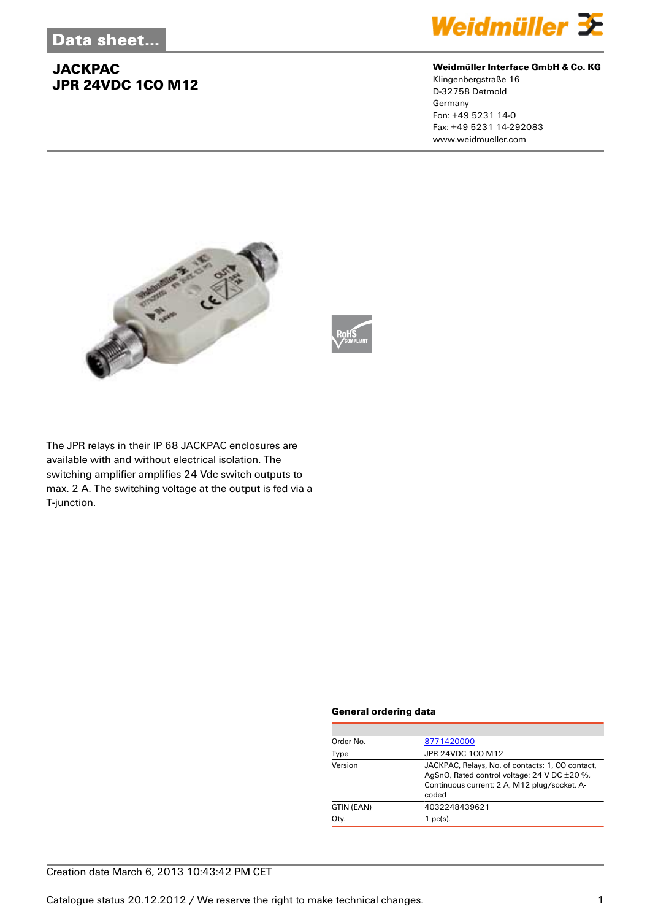

#### **Weidmüller Interface GmbH & Co. KG**

Klingenbergstraße 16 D-32758 Detmold Germany Fon: +49 5231 14-0 Fax: +49 5231 14-292083 www.weidmueller.com





The JPR relays in their IP 68 JACKPAC enclosures are available with and without electrical isolation. The switching amplifier amplifies 24 Vdc switch outputs to max. 2 A. The switching voltage at the output is fed via a T-junction.

#### **General ordering data**

| Order No.  | 8771420000                                                                                                                                                |  |  |
|------------|-----------------------------------------------------------------------------------------------------------------------------------------------------------|--|--|
| Type       | JPR 24VDC 1CO M12                                                                                                                                         |  |  |
| Version    | JACKPAC, Relays, No. of contacts: 1, CO contact,<br>AgSnO, Rated control voltage: 24 V DC ±20 %,<br>Continuous current: 2 A, M12 plug/socket, A-<br>coded |  |  |
| GTIN (EAN) | 4032248439621                                                                                                                                             |  |  |
| Qty.       | $1$ pc(s).                                                                                                                                                |  |  |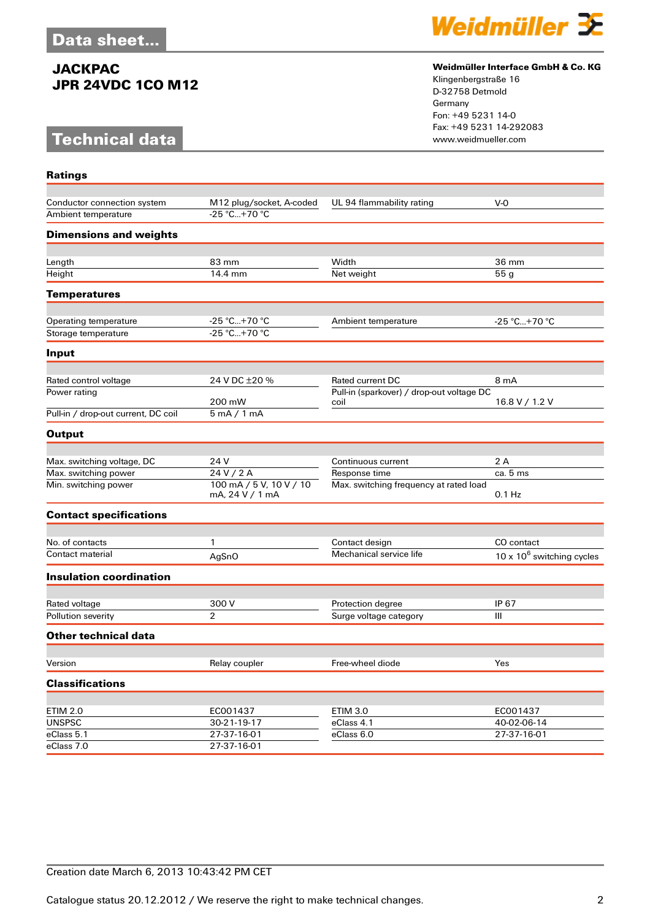# **Technical data**

**Ratings**



#### **Weidmüller Interface GmbH & Co. KG**

Klingenbergstraße 16 D-32758 Detmold Germany Fon: +49 5231 14-0 Fax: +49 5231 14-292083

| Conductor connection system         | M12 plug/socket, A-coded                   | UL 94 flammability rating                 | $V-0$                                 |
|-------------------------------------|--------------------------------------------|-------------------------------------------|---------------------------------------|
| Ambient temperature                 | $-25 °C+70 °C$                             |                                           |                                       |
| <b>Dimensions and weights</b>       |                                            |                                           |                                       |
|                                     |                                            |                                           |                                       |
| Length                              | 83 mm                                      | Width                                     | 36 mm                                 |
| Height                              | 14.4 mm                                    | Net weight                                | 55 <sub>g</sub>                       |
| <b>Temperatures</b>                 |                                            |                                           |                                       |
|                                     |                                            |                                           |                                       |
| Operating temperature               | -25 °C+70 °C<br>-25 °C+70 °C               | Ambient temperature                       | -25 °C+70 °C                          |
| Storage temperature                 |                                            |                                           |                                       |
| Input                               |                                            |                                           |                                       |
| Rated control voltage               | 24 V DC ±20 %                              | <b>Rated current DC</b>                   | 8 mA                                  |
| Power rating                        |                                            | Pull-in (sparkover) / drop-out voltage DC |                                       |
|                                     | 200 mW                                     | coil                                      | 16.8 V / 1.2 V                        |
| Pull-in / drop-out current, DC coil | 5mA/1mA                                    |                                           |                                       |
| <b>Output</b>                       |                                            |                                           |                                       |
|                                     |                                            |                                           |                                       |
| Max. switching voltage, DC          | 24 V                                       | Continuous current                        | 2A                                    |
| Max. switching power                | 24 V / 2 A                                 | Response time                             | ca. 5 ms                              |
| Min. switching power                | 100 mA / 5 V, 10 V / 10<br>mA, 24 V / 1 mA | Max. switching frequency at rated load    | $0.1$ Hz                              |
| <b>Contact specifications</b>       |                                            |                                           |                                       |
|                                     |                                            |                                           |                                       |
| No. of contacts                     | 1                                          | Contact design                            | CO contact                            |
| Contact material                    | AgSnO                                      | Mechanical service life                   | 10 x 10 <sup>6</sup> switching cycles |
| <b>Insulation coordination</b>      |                                            |                                           |                                       |
|                                     |                                            |                                           |                                       |
| Rated voltage                       | 300 V                                      | Protection degree                         | IP 67                                 |
| Pollution severity                  | $\overline{2}$                             | Surge voltage category                    | Ш                                     |
| Other technical data                |                                            |                                           |                                       |
| Version                             | Relay coupler                              | Free-wheel diode                          | Yes                                   |
|                                     |                                            |                                           |                                       |
| <b>Classifications</b>              |                                            |                                           |                                       |
| <b>ETIM 2.0</b>                     | EC001437                                   | <b>ETIM 3.0</b>                           | EC001437                              |
| <b>UNSPSC</b>                       | 30-21-19-17                                | eClass 4.1                                | 40-02-06-14                           |
| eClass 5.1                          | 27-37-16-01                                | eClass 6.0                                | 27-37-16-01                           |
| eClass 7.0                          | 27-37-16-01                                |                                           |                                       |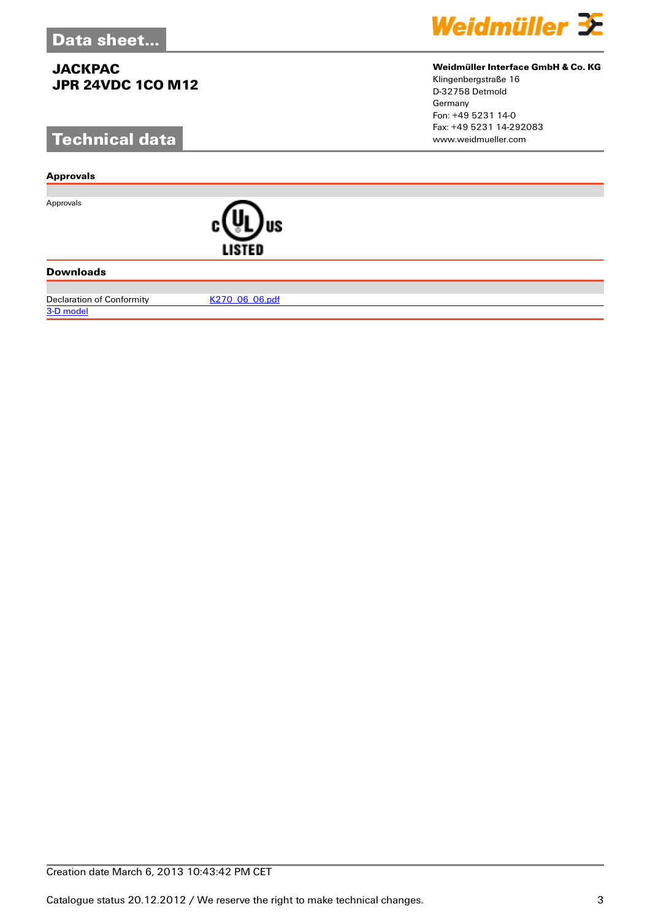# **Technical data**

#### **Approvals**

Approvals



#### **Downloads**

Declaration of Conformity [K270\\_06\\_06.pdf](http://catalog.weidmueller.com/assets/PDF/K270_06_06.pdf)

[3-D model](http://catalog.weidmueller.com/procat/PartServerForm.jsp?partNumber=8771420000)



#### **Weidmüller Interface GmbH & Co. KG**

Klingenbergstraße 16 D-32758 Detmold Germany Fon: +49 5231 14-0 Fax: +49 5231 14-292083